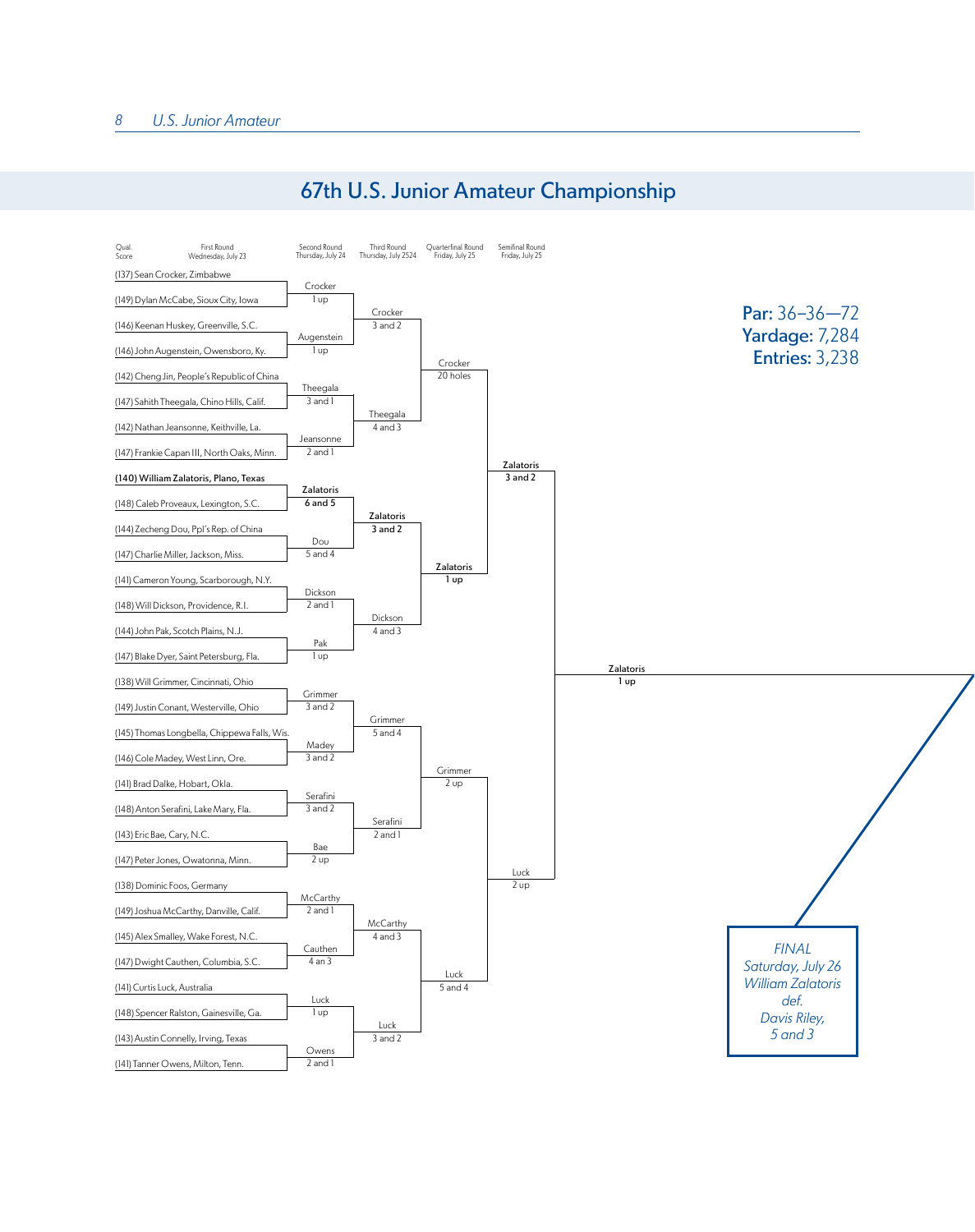## 67th U.S. Junior Amateur Championship

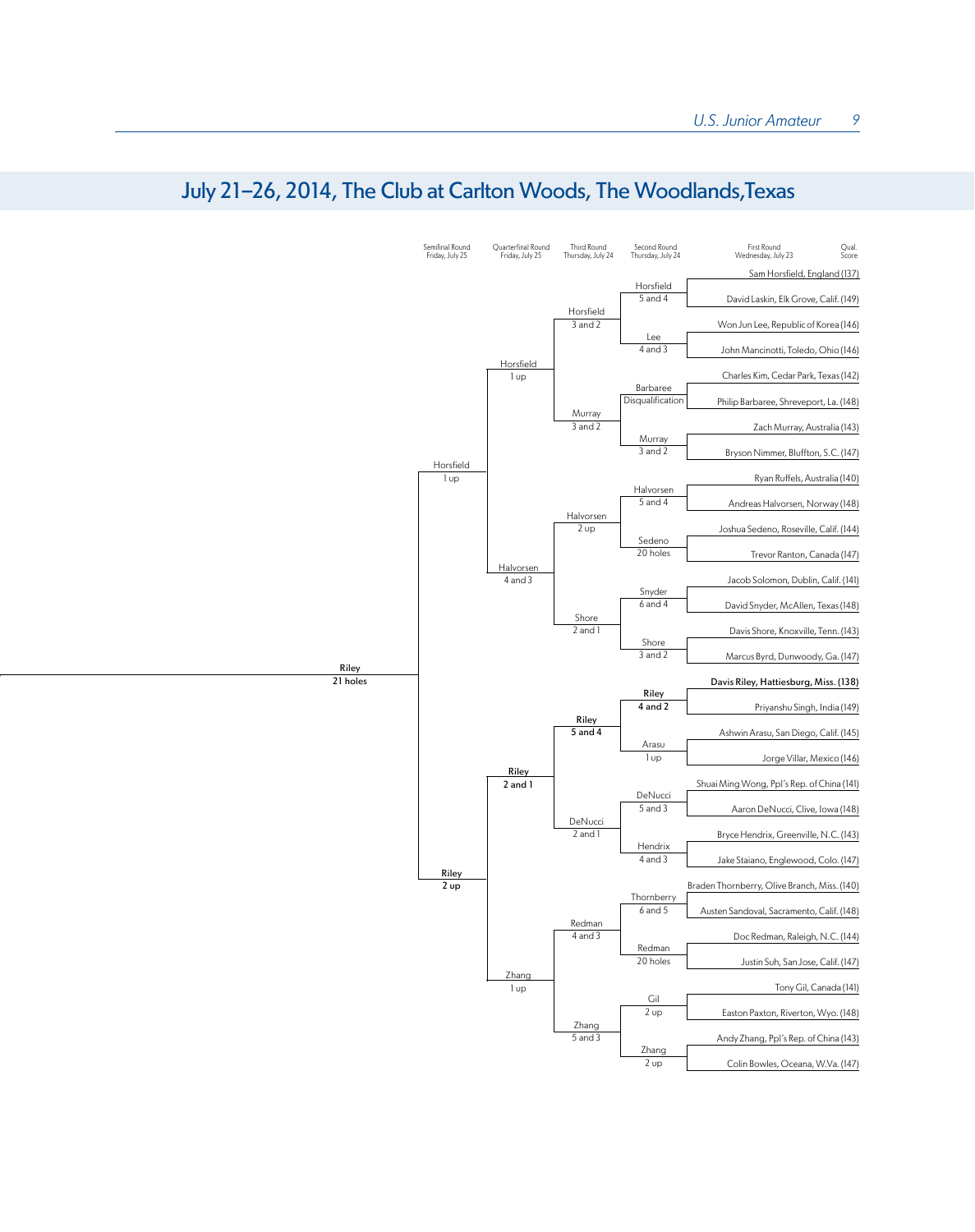

## July 21-26, 2014, The Club at Carlton Woods, The Woodlands,Texas